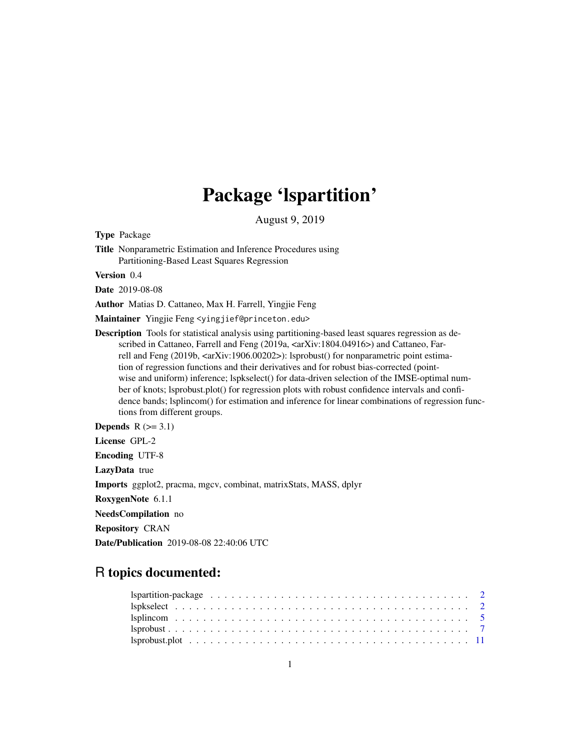## Package 'lspartition'

August 9, 2019

<span id="page-0-0"></span>Type Package

Title Nonparametric Estimation and Inference Procedures using Partitioning-Based Least Squares Regression

Version 0.4

Date 2019-08-08

Author Matias D. Cattaneo, Max H. Farrell, Yingjie Feng

Maintainer Yingjie Feng <yingjief@princeton.edu>

Description Tools for statistical analysis using partitioning-based least squares regression as described in Cattaneo, Farrell and Feng (2019a,  $\langle \langle \langle 2r \rangle 1804.04916 \rangle$ ) and Cattaneo, Farrell and Feng (2019b,  $\langle \text{arXiv:1906.00202}\rangle$ ): lsprobust() for nonparametric point estimation of regression functions and their derivatives and for robust bias-corrected (pointwise and uniform) inference; lspkselect() for data-driven selection of the IMSE-optimal number of knots; lsprobust.plot() for regression plots with robust confidence intervals and confidence bands; lsplincom() for estimation and inference for linear combinations of regression functions from different groups.

Depends  $R$  ( $>= 3.1$ )

License GPL-2

Encoding UTF-8

LazyData true

Imports ggplot2, pracma, mgcv, combinat, matrixStats, MASS, dplyr

RoxygenNote 6.1.1

NeedsCompilation no

Repository CRAN

Date/Publication 2019-08-08 22:40:06 UTC

## R topics documented: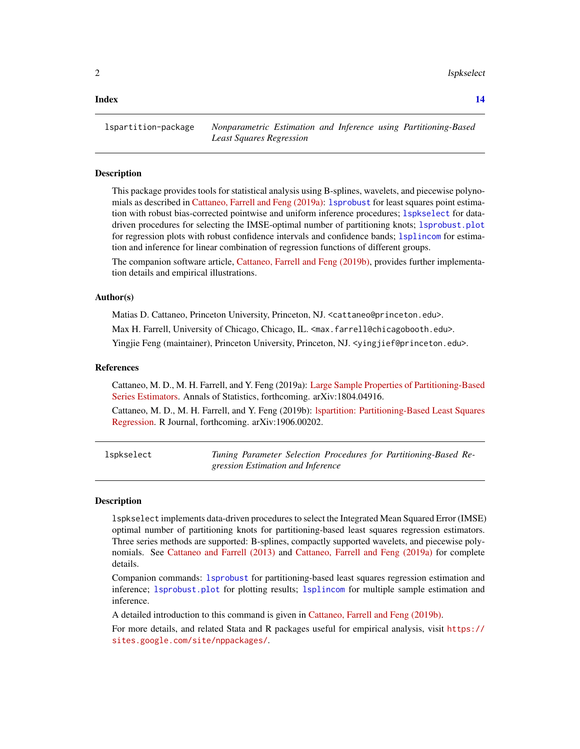<span id="page-1-0"></span>2 lspkselect and the state of the state of the state of the state of the state of the state of the state of the state of the state of the state of the state of the state of the state of the state of the state of the state

#### **Index** 2008 **[14](#page-13-0)**

lspartition-package *Nonparametric Estimation and Inference using Partitioning-Based Least Squares Regression*

#### Description

This package provides tools for statistical analysis using B-splines, wavelets, and piecewise polynomials as described in [Cattaneo, Farrell and Feng \(2019a\):](https://arxiv.org/abs/1804.04916) [lsprobust](#page-6-1) for least squares point estimation with robust bias-corrected pointwise and uniform inference procedures; [lspkselect](#page-1-1) for datadriven procedures for selecting the IMSE-optimal number of partitioning knots; [lsprobust.plot](#page-10-1) for regression plots with robust confidence intervals and confidence bands; [lsplincom](#page-4-1) for estimation and inference for linear combination of regression functions of different groups.

The companion software article, [Cattaneo, Farrell and Feng \(2019b\),](https://arxiv.org/abs/1906.00202) provides further implementation details and empirical illustrations.

#### Author(s)

Matias D. Cattaneo, Princeton University, Princeton, NJ. <cattaneo@princeton.edu>.

Max H. Farrell, University of Chicago, Chicago, IL. <max.farrell@chicagobooth.edu>.

Yingjie Feng (maintainer), Princeton University, Princeton, NJ. < yingjief@princeton.edu>.

#### References

Cattaneo, M. D., M. H. Farrell, and Y. Feng (2019a): [Large Sample Properties of Partitioning-Based](https://arxiv.org/abs/1804.04916) [Series Estimators.](https://arxiv.org/abs/1804.04916) Annals of Statistics, forthcoming. arXiv:1804.04916.

Cattaneo, M. D., M. H. Farrell, and Y. Feng (2019b): [lspartition: Partitioning-Based Least Squares](https://arxiv.org/abs/1906.00202) [Regression.](https://arxiv.org/abs/1906.00202) R Journal, forthcoming. arXiv:1906.00202.

<span id="page-1-1"></span>

| lspkselect | Tuning Parameter Selection Procedures for Partitioning-Based Re- |
|------------|------------------------------------------------------------------|
|            | gression Estimation and Inference                                |

#### **Description**

lspkselect implements data-driven procedures to select the Integrated Mean Squared Error (IMSE) optimal number of partitioning knots for partitioning-based least squares regression estimators. Three series methods are supported: B-splines, compactly supported wavelets, and piecewise polynomials. See [Cattaneo and Farrell \(2013\)](https://sites.google.com/site/nppackages/lspartition/Cattaneo-Farrell_2013_JoE.pdf?attredirects=0) and [Cattaneo, Farrell and Feng \(2019a\)](https://arxiv.org/abs/1804.04916) for complete details.

Companion commands: [lsprobust](#page-6-1) for partitioning-based least squares regression estimation and inference; [lsprobust.plot](#page-10-1) for plotting results; [lsplincom](#page-4-1) for multiple sample estimation and inference.

A detailed introduction to this command is given in [Cattaneo, Farrell and Feng \(2019b\).](https://arxiv.org/abs/1906.00202)

For more details, and related Stata and R packages useful for empirical analysis, visit [https://](https://sites.google.com/site/nppackages/) [sites.google.com/site/nppackages/](https://sites.google.com/site/nppackages/).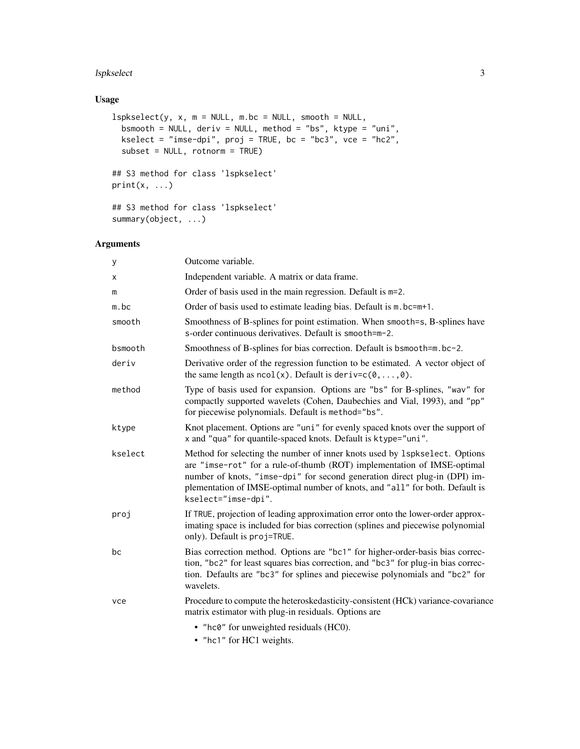#### lspkselect 3

## Usage

```
lspkselect(y, x, m = NULL, m(bc = NULL, smooth = NULL,bsmooth = NULL, deriv = NULL, method = "bs", ktype = "uni",
 kselect = "imse-dpi", proj = TRUE, bc = "bc3", vce = "hc2",
 subset = NULL, rotnorm = TRUE)
## S3 method for class 'lspkselect'
print(x, \ldots)## S3 method for class 'lspkselect'
summary(object, ...)
```
## Arguments

| У       | Outcome variable.                                                                                                                                                                                                                                                                                                                            |
|---------|----------------------------------------------------------------------------------------------------------------------------------------------------------------------------------------------------------------------------------------------------------------------------------------------------------------------------------------------|
| X       | Independent variable. A matrix or data frame.                                                                                                                                                                                                                                                                                                |
| m       | Order of basis used in the main regression. Default is m=2.                                                                                                                                                                                                                                                                                  |
| $m$ .bc | Order of basis used to estimate leading bias. Default is m. bc=m+1.                                                                                                                                                                                                                                                                          |
| smooth  | Smoothness of B-splines for point estimation. When smooth=s, B-splines have<br>s-order continuous derivatives. Default is smooth=m-2.                                                                                                                                                                                                        |
| bsmooth | Smoothness of B-splines for bias correction. Default is bsmooth=m.bc-2.                                                                                                                                                                                                                                                                      |
| deriv   | Derivative order of the regression function to be estimated. A vector object of<br>the same length as $ncol(x)$ . Default is deriv= $c(\emptyset, , \emptyset)$ .                                                                                                                                                                            |
| method  | Type of basis used for expansion. Options are "bs" for B-splines, "wav" for<br>compactly supported wavelets (Cohen, Daubechies and Vial, 1993), and "pp"<br>for piecewise polynomials. Default is method="bs".                                                                                                                               |
| ktype   | Knot placement. Options are "uni" for evenly spaced knots over the support of<br>x and "qua" for quantile-spaced knots. Default is ktype="uni".                                                                                                                                                                                              |
| kselect | Method for selecting the number of inner knots used by 1 spk select. Options<br>are "imse-rot" for a rule-of-thumb (ROT) implementation of IMSE-optimal<br>number of knots, "imse-dpi" for second generation direct plug-in (DPI) im-<br>plementation of IMSE-optimal number of knots, and "all" for both. Default is<br>kselect="imse-dpi". |
| proj    | If TRUE, projection of leading approximation error onto the lower-order approx-<br>imating space is included for bias correction (splines and piecewise polynomial<br>only). Default is proj=TRUE.                                                                                                                                           |
| bc      | Bias correction method. Options are "bc1" for higher-order-basis bias correc-<br>tion, "bc2" for least squares bias correction, and "bc3" for plug-in bias correc-<br>tion. Defaults are "bc3" for splines and piecewise polynomials and "bc2" for<br>wavelets.                                                                              |
| vce     | Procedure to compute the heteroskedasticity-consistent (HCk) variance-covariance<br>matrix estimator with plug-in residuals. Options are                                                                                                                                                                                                     |
|         | • "hc0" for unweighted residuals (HC0).                                                                                                                                                                                                                                                                                                      |
|         |                                                                                                                                                                                                                                                                                                                                              |

• "hc1" for HC1 weights.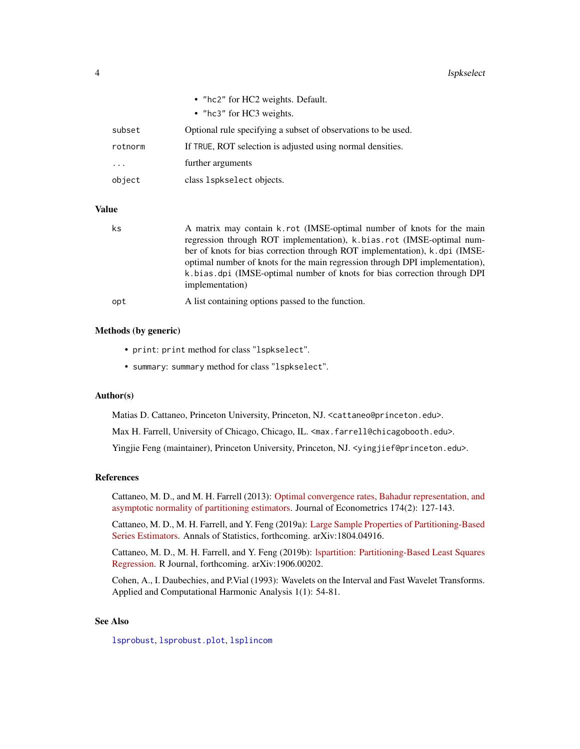<span id="page-3-0"></span>

|         | • "hc2" for HC2 weights. Default.                             |
|---------|---------------------------------------------------------------|
|         | • "hc3" for HC3 weights.                                      |
| subset  | Optional rule specifying a subset of observations to be used. |
| rotnorm | If TRUE, ROT selection is adjusted using normal densities.    |
| .       | further arguments                                             |
| object  | class 1spkselect objects.                                     |
|         |                                                               |

## Value

| ks  | A matrix may contain k.rot (IMSE-optimal number of knots for the main<br>regression through ROT implementation), k bias rot (IMSE-optimal num-<br>ber of knots for bias correction through ROT implementation), k.dpi (IMSE-<br>optimal number of knots for the main regression through DPI implementation),<br>k bias dpi (IMSE-optimal number of knots for bias correction through DPI<br>implementation) |
|-----|-------------------------------------------------------------------------------------------------------------------------------------------------------------------------------------------------------------------------------------------------------------------------------------------------------------------------------------------------------------------------------------------------------------|
| opt | A list containing options passed to the function.                                                                                                                                                                                                                                                                                                                                                           |

#### Methods (by generic)

- print: print method for class "lspkselect".
- summary: summary method for class "lspkselect".

## Author(s)

Matias D. Cattaneo, Princeton University, Princeton, NJ. <cattaneo@princeton.edu>.

Max H. Farrell, University of Chicago, Chicago, IL. <max.farrell@chicagobooth.edu>.

Yingjie Feng (maintainer), Princeton University, Princeton, NJ. < yingjief@princeton.edu>.

## References

Cattaneo, M. D., and M. H. Farrell (2013): [Optimal convergence rates, Bahadur representation, and](https://sites.google.com/site/nppackages/lspartition/Cattaneo-Farrell_2013_JoE.pdf?attredirects=0) [asymptotic normality of partitioning estimators.](https://sites.google.com/site/nppackages/lspartition/Cattaneo-Farrell_2013_JoE.pdf?attredirects=0) Journal of Econometrics 174(2): 127-143.

Cattaneo, M. D., M. H. Farrell, and Y. Feng (2019a): [Large Sample Properties of Partitioning-Based](https://arxiv.org/abs/1804.04916) [Series Estimators.](https://arxiv.org/abs/1804.04916) Annals of Statistics, forthcoming. arXiv:1804.04916.

Cattaneo, M. D., M. H. Farrell, and Y. Feng (2019b): [lspartition: Partitioning-Based Least Squares](https://arxiv.org/abs/1906.00202) [Regression.](https://arxiv.org/abs/1906.00202) R Journal, forthcoming. arXiv:1906.00202.

Cohen, A., I. Daubechies, and P.Vial (1993): Wavelets on the Interval and Fast Wavelet Transforms. Applied and Computational Harmonic Analysis 1(1): 54-81.

#### See Also

[lsprobust](#page-6-1), [lsprobust.plot](#page-10-1), [lsplincom](#page-4-1)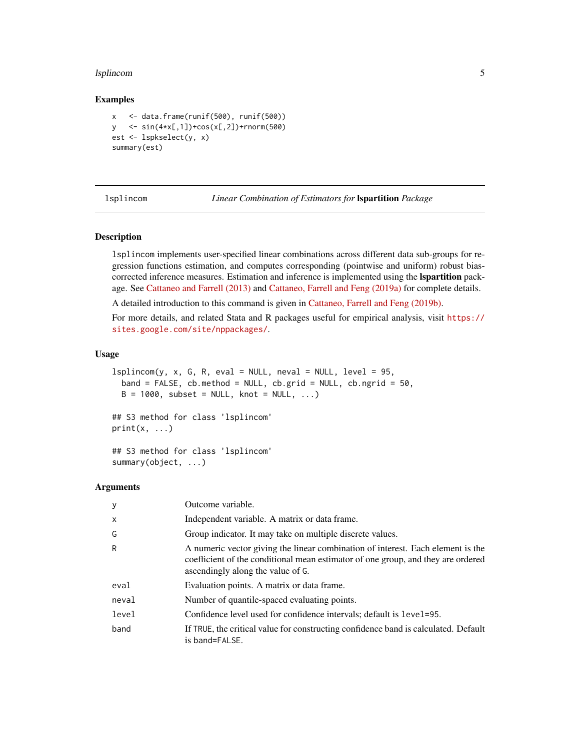#### <span id="page-4-0"></span>lsplincom 55 to 55 to 55 to 55 to 55 to 55 to 55 to 55 to 55 to 55 to 55 to 55 to 55 to 55 to 55 to 55 to 55 to 55 to 55 to 55 to 55 to 55 to 55 to 55 to 55 to 55 to 55 to 55 to 55 to 55 to 55 to 55 to 55 to 55 to 55 to 55

#### Examples

```
x <- data.frame(runif(500), runif(500))
y <- sin(4*x[,1])+cos(x[,2])+rnorm(500)
est <- lspkselect(y, x)
summary(est)
```
<span id="page-4-1"></span>

lsplincom *Linear Combination of Estimators for* lspartition *Package*

#### Description

lsplincom implements user-specified linear combinations across different data sub-groups for regression functions estimation, and computes corresponding (pointwise and uniform) robust biascorrected inference measures. Estimation and inference is implemented using the **Ispartition** package. See [Cattaneo and Farrell \(2013\)](https://sites.google.com/site/nppackages/lspartition/Cattaneo-Farrell_2013_JoE.pdf?attredirects=0) and [Cattaneo, Farrell and Feng \(2019a\)](https://arxiv.org/abs/1804.04916) for complete details.

A detailed introduction to this command is given in [Cattaneo, Farrell and Feng \(2019b\).](https://arxiv.org/abs/1906.00202)

For more details, and related Stata and R packages useful for empirical analysis, visit [https://](https://sites.google.com/site/nppackages/) [sites.google.com/site/nppackages/](https://sites.google.com/site/nppackages/).

#### Usage

```
lsplincom(y, x, G, R, eval = NULL, neval = NULL, level = 95,
 band = FALSE, cb.method = NULL, cb.grid = NULL, cb.ngrid = 50,
 B = 1000, subset = NULL, knot = NULL, ...)
```
## S3 method for class 'lsplincom'  $print(x, \ldots)$ 

## S3 method for class 'lsplincom' summary(object, ...)

#### Arguments

| У     | Outcome variable.                                                                                                                                                                                        |
|-------|----------------------------------------------------------------------------------------------------------------------------------------------------------------------------------------------------------|
| X     | Independent variable. A matrix or data frame.                                                                                                                                                            |
| G     | Group indicator. It may take on multiple discrete values.                                                                                                                                                |
| R     | A numeric vector giving the linear combination of interest. Each element is the<br>coefficient of the conditional mean estimator of one group, and they are ordered<br>ascendingly along the value of G. |
| eval  | Evaluation points. A matrix or data frame.                                                                                                                                                               |
| neval | Number of quantile-spaced evaluating points.                                                                                                                                                             |
| level | Confidence level used for confidence intervals; default is level=95.                                                                                                                                     |
| band  | If TRUE, the critical value for constructing confidence band is calculated. Default<br>is band=FALSE.                                                                                                    |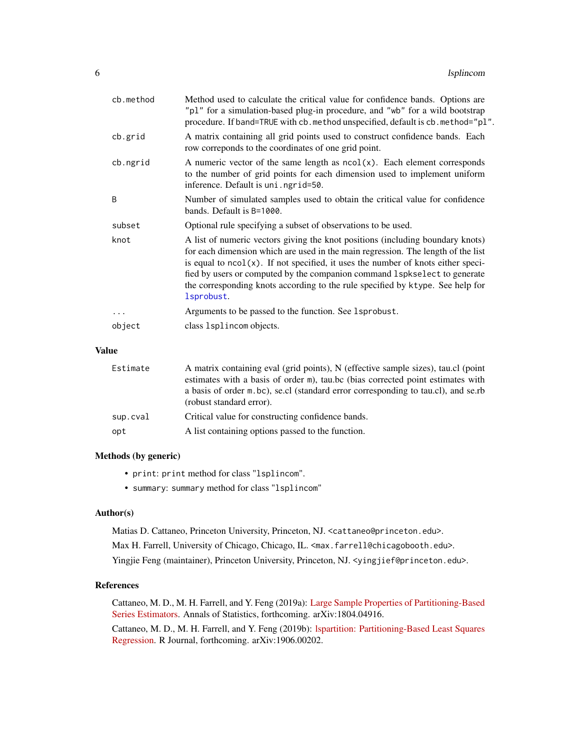<span id="page-5-0"></span>

| cb.method  | Method used to calculate the critical value for confidence bands. Options are<br>"pl" for a simulation-based plug-in procedure, and "wb" for a wild bootstrap<br>procedure. If band=TRUE with cb. method unspecified, default is cb. method="pl".                                                                                                                                                                                        |
|------------|------------------------------------------------------------------------------------------------------------------------------------------------------------------------------------------------------------------------------------------------------------------------------------------------------------------------------------------------------------------------------------------------------------------------------------------|
| cb.grid    | A matrix containing all grid points used to construct confidence bands. Each<br>row correponds to the coordinates of one grid point.                                                                                                                                                                                                                                                                                                     |
| cb.ngrid   | A numeric vector of the same length as $ncol(x)$ . Each element corresponds<br>to the number of grid points for each dimension used to implement uniform<br>inference. Default is uni.ngrid=50.                                                                                                                                                                                                                                          |
| B          | Number of simulated samples used to obtain the critical value for confidence<br>bands. Default is B=1000.                                                                                                                                                                                                                                                                                                                                |
| subset     | Optional rule specifying a subset of observations to be used.                                                                                                                                                                                                                                                                                                                                                                            |
| knot       | A list of numeric vectors giving the knot positions (including boundary knots)<br>for each dimension which are used in the main regression. The length of the list<br>is equal to $ncol(x)$ . If not specified, it uses the number of knots either speci-<br>fied by users or computed by the companion command 1 spk select to generate<br>the corresponding knots according to the rule specified by ktype. See help for<br>lsprobust. |
| $\ddots$ . | Arguments to be passed to the function. See 1sprobust.                                                                                                                                                                                                                                                                                                                                                                                   |
| object     | class 1sp1incom objects.                                                                                                                                                                                                                                                                                                                                                                                                                 |
|            |                                                                                                                                                                                                                                                                                                                                                                                                                                          |

## Value

| Estimate | A matrix containing eval (grid points), N (effective sample sizes), tau.cl (point<br>estimates with a basis of order m), tau bc (bias corrected point estimates with<br>a basis of order m.bc), se.cl (standard error corresponding to tau.cl), and se.rb<br>(robust standard error). |
|----------|---------------------------------------------------------------------------------------------------------------------------------------------------------------------------------------------------------------------------------------------------------------------------------------|
| sup.cval | Critical value for constructing confidence bands.                                                                                                                                                                                                                                     |
| opt      | A list containing options passed to the function.                                                                                                                                                                                                                                     |

## Methods (by generic)

- print: print method for class "lsplincom".
- summary: summary method for class "lsplincom"

#### Author(s)

Matias D. Cattaneo, Princeton University, Princeton, NJ. <cattaneo@princeton.edu>.

Max H. Farrell, University of Chicago, Chicago, IL. <max.farrell@chicagobooth.edu>.

Yingjie Feng (maintainer), Princeton University, Princeton, NJ. < yingjief@princeton.edu>.

## References

Cattaneo, M. D., M. H. Farrell, and Y. Feng (2019a): [Large Sample Properties of Partitioning-Based](https://arxiv.org/abs/1804.04916) [Series Estimators.](https://arxiv.org/abs/1804.04916) Annals of Statistics, forthcoming. arXiv:1804.04916.

Cattaneo, M. D., M. H. Farrell, and Y. Feng (2019b): [lspartition: Partitioning-Based Least Squares](https://arxiv.org/abs/1906.00202) [Regression.](https://arxiv.org/abs/1906.00202) R Journal, forthcoming. arXiv:1906.00202.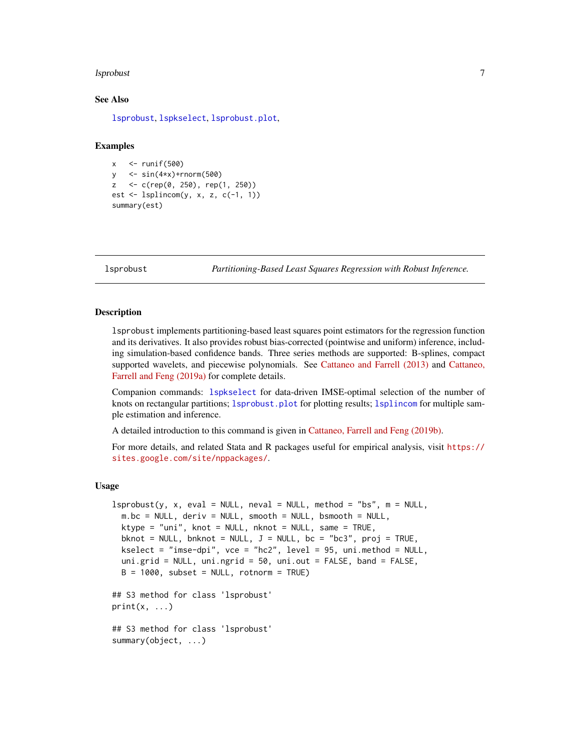#### <span id="page-6-0"></span>lsprobust 7 and 2012 1996 and 2013 1997 and 2013 1997 and 2013 1997 and 2013 1997 and 2013 1997 and 2013 1997

#### See Also

[lsprobust](#page-6-1), [lspkselect](#page-1-1), [lsprobust.plot](#page-10-1),

#### Examples

```
x \le - runif(500)
y <- sin(4*x)+rnorm(500)
z <- c(rep(0, 250), rep(1, 250))
est \le lsplincom(y, x, z, c(-1, 1))
summary(est)
```
<span id="page-6-1"></span>lsprobust *Partitioning-Based Least Squares Regression with Robust Inference.*

#### Description

lsprobust implements partitioning-based least squares point estimators for the regression function and its derivatives. It also provides robust bias-corrected (pointwise and uniform) inference, including simulation-based confidence bands. Three series methods are supported: B-splines, compact supported wavelets, and piecewise polynomials. See [Cattaneo and Farrell \(2013\)](https://sites.google.com/site/nppackages/lspartition/Cattaneo-Farrell_2013_JoE.pdf?attredirects=0) and [Cattaneo,](https://arxiv.org/abs/1804.04916) [Farrell and Feng \(2019a\)](https://arxiv.org/abs/1804.04916) for complete details.

Companion commands: [lspkselect](#page-1-1) for data-driven IMSE-optimal selection of the number of knots on rectangular partitions; [lsprobust.plot](#page-10-1) for plotting results; [lsplincom](#page-4-1) for multiple sample estimation and inference.

A detailed introduction to this command is given in [Cattaneo, Farrell and Feng \(2019b\).](https://arxiv.org/abs/1906.00202)

For more details, and related Stata and R packages useful for empirical analysis, visit [https://](https://sites.google.com/site/nppackages/) [sites.google.com/site/nppackages/](https://sites.google.com/site/nppackages/).

#### Usage

```
lsprobust(y, x, eval = NULL, neval = NULL, method = "bs", m = NULL,
 m(bc = NULL, deriv = NULL, smooth = NULL, bsmooth = NULL,ktype = "uni", knot = NULL, nknot = NULL, same = TRUE,
 bknot = NULL, bnknot = NULL, J = NULL, bc = "bc3", proj = TRUE,
 kselect = "imse-dpi", vce = "hc2", level = 95, uni.method = NULL,
 uni.grid = NULL, uni.ngrid = 50, uni.out = FALSE, band = FALSE,
 B = 1000, subset = NULL, rotnorm = TRUE)
## S3 method for class 'lsprobust'
print(x, \ldots)## S3 method for class 'lsprobust'
summary(object, ...)
```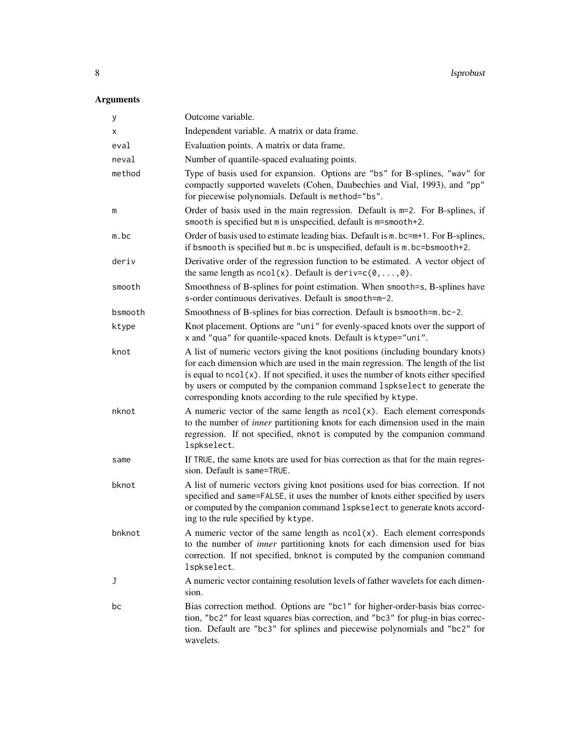## Arguments

| У       | Outcome variable.                                                                                                                                                                                                                                                                                                                                                                                         |
|---------|-----------------------------------------------------------------------------------------------------------------------------------------------------------------------------------------------------------------------------------------------------------------------------------------------------------------------------------------------------------------------------------------------------------|
| Χ       | Independent variable. A matrix or data frame.                                                                                                                                                                                                                                                                                                                                                             |
| eval    | Evaluation points. A matrix or data frame.                                                                                                                                                                                                                                                                                                                                                                |
| neval   | Number of quantile-spaced evaluating points.                                                                                                                                                                                                                                                                                                                                                              |
| method  | Type of basis used for expansion. Options are "bs" for B-splines, "wav" for<br>compactly supported wavelets (Cohen, Daubechies and Vial, 1993), and "pp"<br>for piecewise polynomials. Default is method="bs".                                                                                                                                                                                            |
| m       | Order of basis used in the main regression. Default is $m=2$ . For B-splines, if<br>smooth is specified but m is unspecified, default is m=smooth+2.                                                                                                                                                                                                                                                      |
| m.bc    | Order of basis used to estimate leading bias. Default is $m$ . bc= $m+1$ . For B-splines,<br>if bsmooth is specified but m. bc is unspecified, default is m. bc=bsmooth+2.                                                                                                                                                                                                                                |
| deriv   | Derivative order of the regression function to be estimated. A vector object of<br>the same length as $ncol(x)$ . Default is deriv= $c(0, \ldots, 0)$ .                                                                                                                                                                                                                                                   |
| smooth  | Smoothness of B-splines for point estimation. When smooth=s, B-splines have<br>s-order continuous derivatives. Default is smooth=m-2.                                                                                                                                                                                                                                                                     |
| bsmooth | Smoothness of B-splines for bias correction. Default is bsmooth=m.bc-2.                                                                                                                                                                                                                                                                                                                                   |
| ktype   | Knot placement. Options are "uni" for evenly-spaced knots over the support of<br>x and "qua" for quantile-spaced knots. Default is ktype="uni".                                                                                                                                                                                                                                                           |
| knot    | A list of numeric vectors giving the knot positions (including boundary knots)<br>for each dimension which are used in the main regression. The length of the list<br>is equal to $ncol(x)$ . If not specified, it uses the number of knots either specified<br>by users or computed by the companion command 1spkselect to generate the<br>corresponding knots according to the rule specified by ktype. |
| nknot   | A numeric vector of the same length as $ncol(x)$ . Each element corresponds<br>to the number of <i>inner</i> partitioning knots for each dimension used in the main<br>regression. If not specified, nknot is computed by the companion command<br>lspkselect.                                                                                                                                            |
| same    | If TRUE, the same knots are used for bias correction as that for the main regres-<br>sion. Default is same=TRUE.                                                                                                                                                                                                                                                                                          |
| bknot   | A list of numeric vectors giving knot positions used for bias correction. If not<br>specified and same=FALSE, it uses the number of knots either specified by users<br>or computed by the companion command 1spkselect to generate knots accord-<br>ing to the rule specified by ktype.                                                                                                                   |
| bnknot  | A numeric vector of the same length as $ncol(x)$ . Each element corresponds<br>to the number of <i>inner</i> partitioning knots for each dimension used for bias<br>correction. If not specified, bnknot is computed by the companion command<br>lspkselect.                                                                                                                                              |
| J       | A numeric vector containing resolution levels of father wavelets for each dimen-<br>sion.                                                                                                                                                                                                                                                                                                                 |
| bc      | Bias correction method. Options are "bc1" for higher-order-basis bias correc-<br>tion, "bc2" for least squares bias correction, and "bc3" for plug-in bias correc-<br>tion. Default are "bc3" for splines and piecewise polynomials and "bc2" for<br>wavelets.                                                                                                                                            |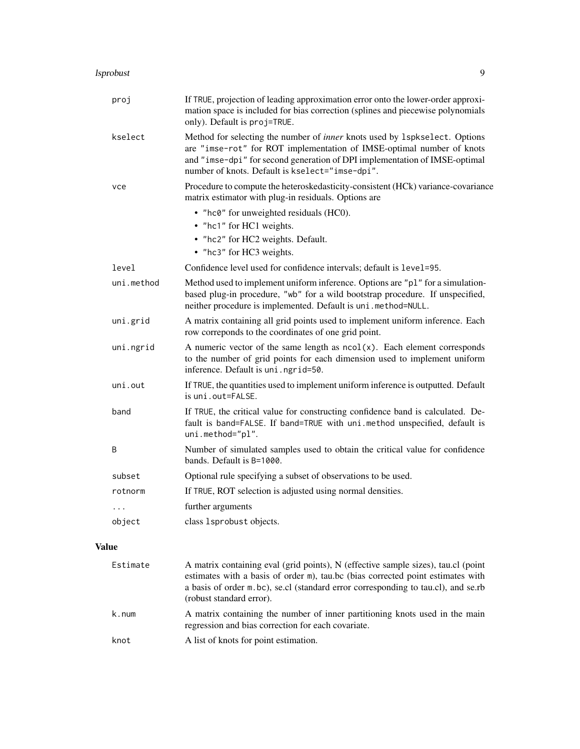#### lsprobust 9

| proj       | If TRUE, projection of leading approximation error onto the lower-order approxi-<br>mation space is included for bias correction (splines and piecewise polynomials<br>only). Default is proj=TRUE.                                                                                  |
|------------|--------------------------------------------------------------------------------------------------------------------------------------------------------------------------------------------------------------------------------------------------------------------------------------|
| kselect    | Method for selecting the number of inner knots used by 1spkselect. Options<br>are "imse-rot" for ROT implementation of IMSE-optimal number of knots<br>and "imse-dpi" for second generation of DPI implementation of IMSE-optimal<br>number of knots. Default is kselect="imse-dpi". |
| vce        | Procedure to compute the heteroskedasticity-consistent (HCk) variance-covariance<br>matrix estimator with plug-in residuals. Options are                                                                                                                                             |
|            | • "hc0" for unweighted residuals (HC0).                                                                                                                                                                                                                                              |
|            | • "hc1" for HC1 weights.                                                                                                                                                                                                                                                             |
|            | • "hc2" for HC2 weights. Default.                                                                                                                                                                                                                                                    |
|            | • "hc3" for HC3 weights.                                                                                                                                                                                                                                                             |
| level      | Confidence level used for confidence intervals; default is level=95.                                                                                                                                                                                                                 |
| uni.method | Method used to implement uniform inference. Options are "p1" for a simulation-<br>based plug-in procedure, "wb" for a wild bootstrap procedure. If unspecified,<br>neither procedure is implemented. Default is uni.method=NULL.                                                     |
| uni.grid   | A matrix containing all grid points used to implement uniform inference. Each<br>row correponds to the coordinates of one grid point.                                                                                                                                                |
| uni.ngrid  | A numeric vector of the same length as $ncol(x)$ . Each element corresponds<br>to the number of grid points for each dimension used to implement uniform<br>inference. Default is uni.ngrid=50.                                                                                      |
| uni.out    | If TRUE, the quantities used to implement uniform inference is outputted. Default<br>$i$ s un $i$ , out=FALSE.                                                                                                                                                                       |
| band       | If TRUE, the critical value for constructing confidence band is calculated. De-<br>fault is band=FALSE. If band=TRUE with uni.method unspecified, default is<br>uni.method="pl".                                                                                                     |
| B          | Number of simulated samples used to obtain the critical value for confidence<br>bands. Default is B=1000.                                                                                                                                                                            |
| subset     | Optional rule specifying a subset of observations to be used.                                                                                                                                                                                                                        |
| rotnorm    | If TRUE, ROT selection is adjusted using normal densities.                                                                                                                                                                                                                           |
| .          | further arguments                                                                                                                                                                                                                                                                    |
| object     | class 1sprobust objects.                                                                                                                                                                                                                                                             |
|            |                                                                                                                                                                                                                                                                                      |
|            |                                                                                                                                                                                                                                                                                      |

## Value

| Estimate | A matrix containing eval (grid points), N (effective sample sizes), tau.cl (point<br>estimates with a basis of order m), tau bc (bias corrected point estimates with<br>a basis of order m.bc), se.cl (standard error corresponding to tau.cl), and se.rb<br>(robust standard error). |
|----------|---------------------------------------------------------------------------------------------------------------------------------------------------------------------------------------------------------------------------------------------------------------------------------------|
| k.num    | A matrix containing the number of inner partitioning knots used in the main<br>regression and bias correction for each covariate.                                                                                                                                                     |
| knot     | A list of knots for point estimation.                                                                                                                                                                                                                                                 |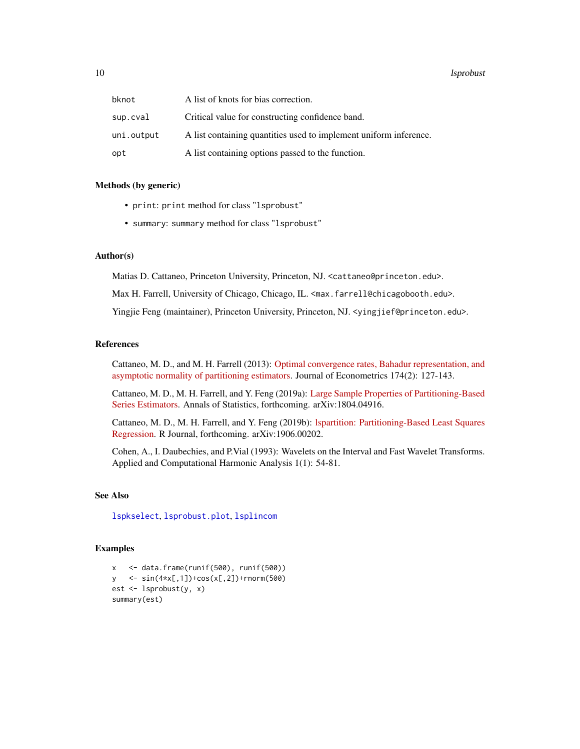#### <span id="page-9-0"></span>10 states and the states of the states of the states of the states of the states of the states of the states of the states of the states of the states of the states of the states of the states of the states of the states o

| bknot      | A list of knots for bias correction.                              |
|------------|-------------------------------------------------------------------|
| sup.cval   | Critical value for constructing confidence band.                  |
| uni.output | A list containing quantities used to implement uniform inference. |
| opt        | A list containing options passed to the function.                 |

#### Methods (by generic)

- print: print method for class "lsprobust"
- summary: summary method for class "lsprobust"

## Author(s)

Matias D. Cattaneo, Princeton University, Princeton, NJ. <cattaneo@princeton.edu>.

Max H. Farrell, University of Chicago, Chicago, IL. <max.farrell@chicagobooth.edu>.

Yingjie Feng (maintainer), Princeton University, Princeton, NJ. < yingjief@princeton.edu>.

#### References

Cattaneo, M. D., and M. H. Farrell (2013): [Optimal convergence rates, Bahadur representation, and](https://sites.google.com/site/nppackages/lspartition/Cattaneo-Farrell_2013_JoE.pdf?attredirects=0) [asymptotic normality of partitioning estimators.](https://sites.google.com/site/nppackages/lspartition/Cattaneo-Farrell_2013_JoE.pdf?attredirects=0) Journal of Econometrics 174(2): 127-143.

Cattaneo, M. D., M. H. Farrell, and Y. Feng (2019a): [Large Sample Properties of Partitioning-Based](https://arxiv.org/abs/1804.04916) [Series Estimators.](https://arxiv.org/abs/1804.04916) Annals of Statistics, forthcoming. arXiv:1804.04916.

Cattaneo, M. D., M. H. Farrell, and Y. Feng (2019b): [lspartition: Partitioning-Based Least Squares](https://arxiv.org/abs/1906.00202) [Regression.](https://arxiv.org/abs/1906.00202) R Journal, forthcoming. arXiv:1906.00202.

Cohen, A., I. Daubechies, and P.Vial (1993): Wavelets on the Interval and Fast Wavelet Transforms. Applied and Computational Harmonic Analysis 1(1): 54-81.

## See Also

[lspkselect](#page-1-1), [lsprobust.plot](#page-10-1), [lsplincom](#page-4-1)

#### Examples

x <- data.frame(runif(500), runif(500)) y <- sin(4\*x[,1])+cos(x[,2])+rnorm(500) est <- lsprobust(y, x) summary(est)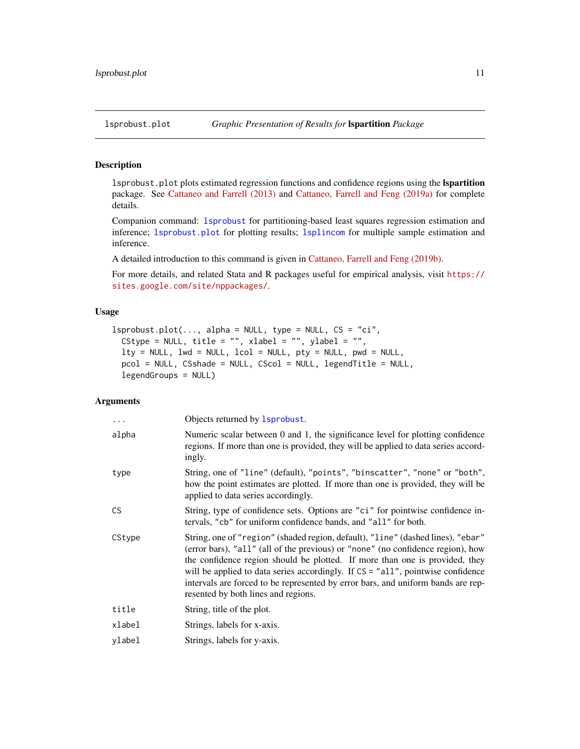#### <span id="page-10-1"></span><span id="page-10-0"></span>Description

lsprobust.plot plots estimated regression functions and confidence regions using the lspartition package. See [Cattaneo and Farrell \(2013\)](https://sites.google.com/site/nppackages/lspartition/Cattaneo-Farrell_2013_JoE.pdf?attredirects=0) and [Cattaneo, Farrell and Feng \(2019a\)](https://arxiv.org/abs/1804.04916) for complete details.

Companion command: [lsprobust](#page-6-1) for partitioning-based least squares regression estimation and inference; [lsprobust.plot](#page-10-1) for plotting results; [lsplincom](#page-4-1) for multiple sample estimation and inference.

A detailed introduction to this command is given in [Cattaneo, Farrell and Feng \(2019b\).](https://arxiv.org/abs/1906.00202)

For more details, and related Stata and R packages useful for empirical analysis, visit [https://](https://sites.google.com/site/nppackages/) [sites.google.com/site/nppackages/](https://sites.google.com/site/nppackages/).

#### Usage

```
lsprobust.plot(..., alpha = NULL, type = NULL, CS = "ci",CStype = NULL, title = "", xlabel = "", ylabel = "",
 lty = NULL, lwd = NULL, lcol = NULL, pty = NULL, pwd = NULL,
 pcol = NULL, CSshade = NULL, CScol = NULL, legendTitle = NULL,
  legendGroups = NULL)
```
#### Arguments

| .         | Objects returned by 1sprobust.                                                                                                                                                                                                                                                                                                                                                                                                                                  |
|-----------|-----------------------------------------------------------------------------------------------------------------------------------------------------------------------------------------------------------------------------------------------------------------------------------------------------------------------------------------------------------------------------------------------------------------------------------------------------------------|
| alpha     | Numeric scalar between 0 and 1, the significance level for plotting confidence<br>regions. If more than one is provided, they will be applied to data series accord-<br>ingly.                                                                                                                                                                                                                                                                                  |
| type      | String, one of "line" (default), "points", "binscatter", "none" or "both",<br>how the point estimates are plotted. If more than one is provided, they will be<br>applied to data series accordingly.                                                                                                                                                                                                                                                            |
| <b>CS</b> | String, type of confidence sets. Options are "ci" for pointwise confidence in-<br>tervals, "cb" for uniform confidence bands, and "all" for both.                                                                                                                                                                                                                                                                                                               |
| CStype    | String, one of "region" (shaded region, default), "line" (dashed lines), "ebar"<br>(error bars), "all" (all of the previous) or "none" (no confidence region), how<br>the confidence region should be plotted. If more than one is provided, they<br>will be applied to data series accordingly. If CS = "all", pointwise confidence<br>intervals are forced to be represented by error bars, and uniform bands are rep-<br>resented by both lines and regions. |
| title     | String, title of the plot.                                                                                                                                                                                                                                                                                                                                                                                                                                      |
| xlabel    | Strings, labels for x-axis.                                                                                                                                                                                                                                                                                                                                                                                                                                     |
| ylabel    | Strings, labels for y-axis.                                                                                                                                                                                                                                                                                                                                                                                                                                     |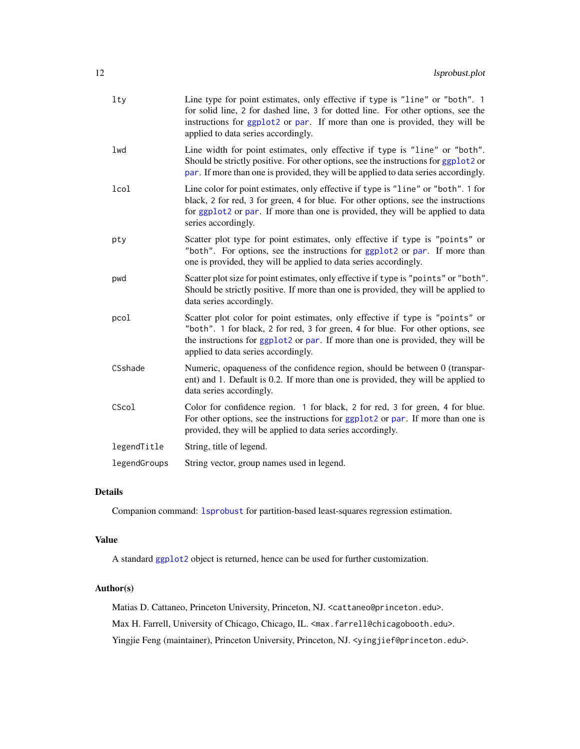<span id="page-11-0"></span>

| $1$ ty       | Line type for point estimates, only effective if type is "line" or "both". 1<br>for solid line, 2 for dashed line, 3 for dotted line. For other options, see the<br>instructions for ggplot2 or par. If more than one is provided, they will be<br>applied to data series accordingly.     |
|--------------|--------------------------------------------------------------------------------------------------------------------------------------------------------------------------------------------------------------------------------------------------------------------------------------------|
| lwd          | Line width for point estimates, only effective if type is "line" or "both".<br>Should be strictly positive. For other options, see the instructions for ggplot2 or<br>par. If more than one is provided, they will be applied to data series accordingly.                                  |
| lcol         | Line color for point estimates, only effective if type is "line" or "both". 1 for<br>black, 2 for red, 3 for green, 4 for blue. For other options, see the instructions<br>for ggplot2 or par. If more than one is provided, they will be applied to data<br>series accordingly.           |
| pty          | Scatter plot type for point estimates, only effective if type is "points" or<br>"both". For options, see the instructions for ggplot2 or par. If more than<br>one is provided, they will be applied to data series accordingly.                                                            |
| pwd          | Scatter plot size for point estimates, only effective if type is "points" or "both".<br>Should be strictly positive. If more than one is provided, they will be applied to<br>data series accordingly.                                                                                     |
| pcol         | Scatter plot color for point estimates, only effective if type is "points" or<br>"both". 1 for black, 2 for red, 3 for green, 4 for blue. For other options, see<br>the instructions for ggplot2 or par. If more than one is provided, they will be<br>applied to data series accordingly. |
| CSshade      | Numeric, opaqueness of the confidence region, should be between 0 (transpar-<br>ent) and 1. Default is 0.2. If more than one is provided, they will be applied to<br>data series accordingly.                                                                                              |
| CScol        | Color for confidence region. 1 for black, 2 for red, 3 for green, 4 for blue.<br>For other options, see the instructions for ggplot2 or par. If more than one is<br>provided, they will be applied to data series accordingly.                                                             |
| legendTitle  | String, title of legend.                                                                                                                                                                                                                                                                   |
| legendGroups | String vector, group names used in legend.                                                                                                                                                                                                                                                 |

#### Details

Companion command: [lsprobust](#page-6-1) for partition-based least-squares regression estimation.

#### Value

A standard [ggplot2](#page-0-0) object is returned, hence can be used for further customization.

#### Author(s)

Matias D. Cattaneo, Princeton University, Princeton, NJ. <cattaneo@princeton.edu>. Max H. Farrell, University of Chicago, Chicago, IL. <max.farrell@chicagobooth.edu>. Yingjie Feng (maintainer), Princeton University, Princeton, NJ. < yingjief@princeton.edu>.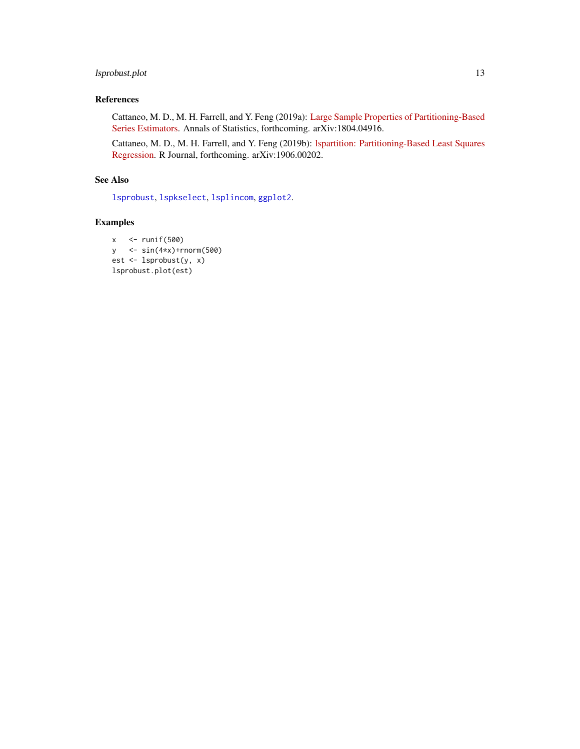## <span id="page-12-0"></span>lsprobust.plot 13

## References

Cattaneo, M. D., M. H. Farrell, and Y. Feng (2019a): [Large Sample Properties of Partitioning-Based](https://arxiv.org/abs/1804.04916) [Series Estimators.](https://arxiv.org/abs/1804.04916) Annals of Statistics, forthcoming. arXiv:1804.04916.

Cattaneo, M. D., M. H. Farrell, and Y. Feng (2019b): [lspartition: Partitioning-Based Least Squares](https://arxiv.org/abs/1906.00202) [Regression.](https://arxiv.org/abs/1906.00202) R Journal, forthcoming. arXiv:1906.00202.

#### See Also

[lsprobust](#page-6-1), [lspkselect](#page-1-1), [lsplincom](#page-4-1), [ggplot2](#page-0-0).

## Examples

```
x <- runif(500)
y <- sin(4*x)+rnorm(500)
est <- lsprobust(y, x)
lsprobust.plot(est)
```